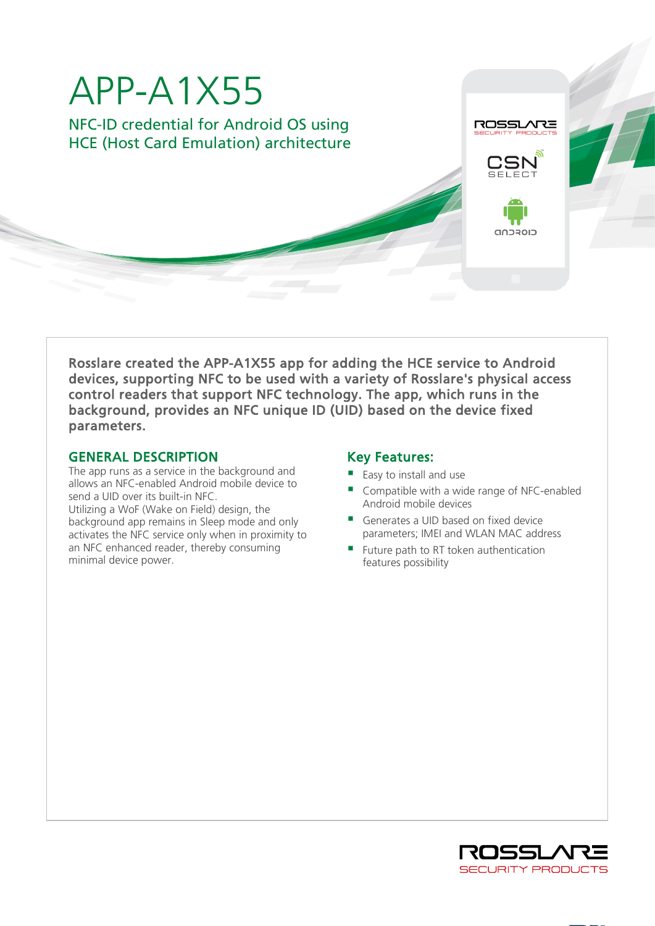

Rosslare created the APP-A1X55 app for adding the HCE service to Android devices, supporting NFC to be used with a variety of Rosslare's physical access control readers that support NFC technology. The app, which runs in the background, provides an NFC unique ID (UID) based on the device fixed parameters.

## GENERAL DESCRIPTION

The app runs as a service in the background and allows an NFC-enabled Android mobile device to send a UID over its built-in NFC. Utilizing a WoF (Wake on Field) design, the background app remains in Sleep mode and only activates the NFC service only when in proximity to an NFC enhanced reader, thereby consuming minimal device power.

# Key Features:

- Easy to install and use
- Compatible with a wide range of NFC-enabled Android mobile devices
- Generates a UID based on fixed device parameters; IMEI and WLAN MAC address
- Future path to RT token authentication features possibility